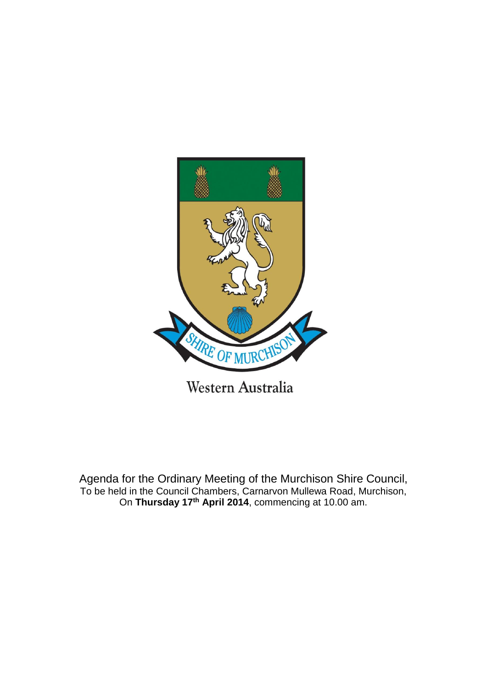

Agenda for the Ordinary Meeting of the Murchison Shire Council, To be held in the Council Chambers, Carnarvon Mullewa Road, Murchison, On **Thursday 17th April 2014**, commencing at 10.00 am.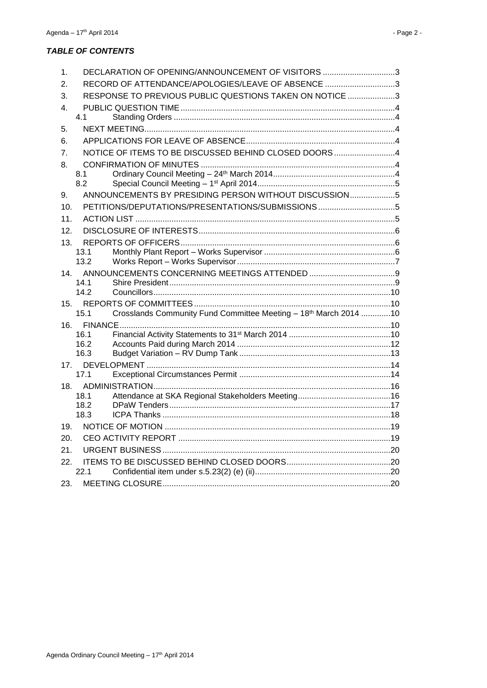#### **TABLE OF CONTENTS**

| 1.             | DECLARATION OF OPENING/ANNOUNCEMENT OF VISITORS 3                |  |
|----------------|------------------------------------------------------------------|--|
| 2.             | RECORD OF ATTENDANCE/APOLOGIES/LEAVE OF ABSENCE 3                |  |
| 3.             | RESPONSE TO PREVIOUS PUBLIC QUESTIONS TAKEN ON NOTICE 3          |  |
| 4.             |                                                                  |  |
| 4.1            |                                                                  |  |
| 5.             |                                                                  |  |
| 6.             |                                                                  |  |
| 7 <sub>1</sub> | NOTICE OF ITEMS TO BE DISCUSSED BEHIND CLOSED DOORS4             |  |
| 8.             |                                                                  |  |
| 8.1            |                                                                  |  |
| 8.2            |                                                                  |  |
| 9.             | ANNOUNCEMENTS BY PRESIDING PERSON WITHOUT DISCUSSION5            |  |
| 10.            |                                                                  |  |
| 11.            |                                                                  |  |
| 12.            |                                                                  |  |
| 13.            |                                                                  |  |
| 13.1           |                                                                  |  |
| 13.2           |                                                                  |  |
| 14.            |                                                                  |  |
| 14.1<br>14.2   |                                                                  |  |
| 15.            |                                                                  |  |
| 15.1           | Crosslands Community Fund Committee Meeting - 18th March 2014 10 |  |
|                |                                                                  |  |
| 16.1           |                                                                  |  |
| 16.2           |                                                                  |  |
| 16.3           |                                                                  |  |
| 17.            |                                                                  |  |
| 17.1           |                                                                  |  |
| 18.<br>18.1    |                                                                  |  |
| 18.2           |                                                                  |  |
| 18.3           |                                                                  |  |
| 19.            |                                                                  |  |
| 20.            |                                                                  |  |
| 21.            |                                                                  |  |
| 22.            |                                                                  |  |
| 22.1           |                                                                  |  |
| 23.            |                                                                  |  |
|                |                                                                  |  |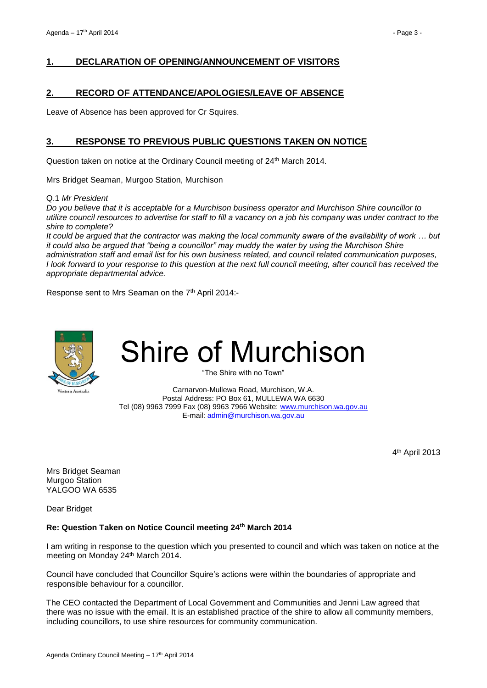#### <span id="page-2-0"></span>**1. DECLARATION OF OPENING/ANNOUNCEMENT OF VISITORS**

#### <span id="page-2-1"></span>**2. RECORD OF ATTENDANCE/APOLOGIES/LEAVE OF ABSENCE**

Leave of Absence has been approved for Cr Squires.

#### <span id="page-2-2"></span>**3. RESPONSE TO PREVIOUS PUBLIC QUESTIONS TAKEN ON NOTICE**

Question taken on notice at the Ordinary Council meeting of 24<sup>th</sup> March 2014.

Mrs Bridget Seaman, Murgoo Station, Murchison

Q.1 *Mr President* 

*Do you believe that it is acceptable for a Murchison business operator and Murchison Shire councillor to utilize council resources to advertise for staff to fill a vacancy on a job his company was under contract to the shire to complete?*

*It could be argued that the contractor was making the local community aware of the availability of work … but it could also be argued that "being a councillor" may muddy the water by using the Murchison Shire administration staff and email list for his own business related, and council related communication purposes, I look forward to your response to this question at the next full council meeting, after council has received the appropriate departmental advice.*

Response sent to Mrs Seaman on the 7<sup>th</sup> April 2014:-



# Shire of Murchison

"The Shire with no Town"

Carnarvon-Mullewa Road, Murchison, W.A. Postal Address: PO Box 61, MULLEWA WA 6630 Tel (08) 9963 7999 Fax (08) 9963 7966 Website: [www.murchison.wa.gov.au](http://www.murchison.wa.gov.au/) E-mail[: admin@murchison.wa.gov.au](mailto:admin@murchison.wa.gov.au)

4 th April 2013

Mrs Bridget Seaman Murgoo Station YALGOO WA 6535

Dear Bridget

#### **Re: Question Taken on Notice Council meeting 24th March 2014**

I am writing in response to the question which you presented to council and which was taken on notice at the meeting on Monday 24th March 2014.

Council have concluded that Councillor Squire's actions were within the boundaries of appropriate and responsible behaviour for a councillor.

The CEO contacted the Department of Local Government and Communities and Jenni Law agreed that there was no issue with the email. It is an established practice of the shire to allow all community members, including councillors, to use shire resources for community communication.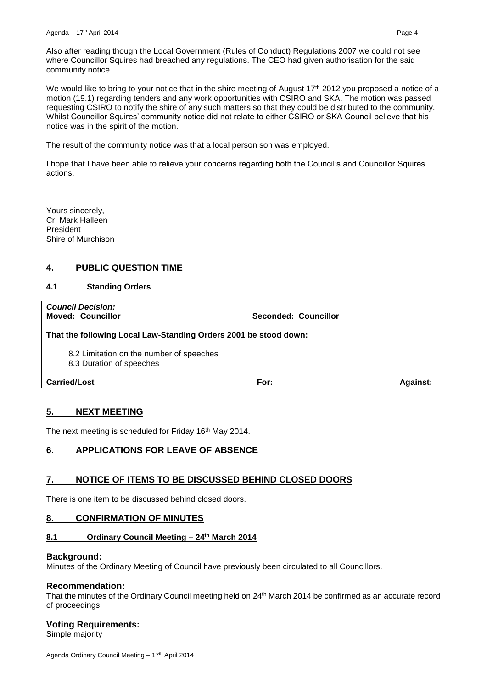Also after reading though the Local Government (Rules of Conduct) Regulations 2007 we could not see where Councillor Squires had breached any regulations. The CEO had given authorisation for the said community notice.

We would like to bring to your notice that in the shire meeting of August 17<sup>th</sup> 2012 you proposed a notice of a motion (19.1) regarding tenders and any work opportunities with CSIRO and SKA. The motion was passed requesting CSIRO to notify the shire of any such matters so that they could be distributed to the community. Whilst Councillor Squires' community notice did not relate to either CSIRO or SKA Council believe that his notice was in the spirit of the motion.

The result of the community notice was that a local person son was employed.

I hope that I have been able to relieve your concerns regarding both the Council's and Councillor Squires actions.

Yours sincerely, Cr. Mark Halleen President Shire of Murchison

#### <span id="page-3-0"></span>**4. PUBLIC QUESTION TIME**

#### <span id="page-3-1"></span>**4.1 Standing Orders**

*Council Decision:*

**Moved: Councillor Seconded: Councillor**

**That the following Local Law-Standing Orders 2001 be stood down:**

8.2 Limitation on the number of speeches

8.3 Duration of speeches

**Carried/Lost For: Against:**

#### <span id="page-3-2"></span>**5. NEXT MEETING**

The next meeting is scheduled for Friday 16<sup>th</sup> May 2014.

#### <span id="page-3-3"></span>**6. APPLICATIONS FOR LEAVE OF ABSENCE**

#### <span id="page-3-4"></span>**7. NOTICE OF ITEMS TO BE DISCUSSED BEHIND CLOSED DOORS**

There is one item to be discussed behind closed doors.

#### <span id="page-3-5"></span>**8. CONFIRMATION OF MINUTES**

#### <span id="page-3-6"></span>**8.1 Ordinary Council Meeting – 24 th March 2014**

#### **Background:**

Minutes of the Ordinary Meeting of Council have previously been circulated to all Councillors.

#### **Recommendation:**

That the minutes of the Ordinary Council meeting held on 24 th March 2014 be confirmed as an accurate record of proceedings

#### **Voting Requirements:**

Simple majority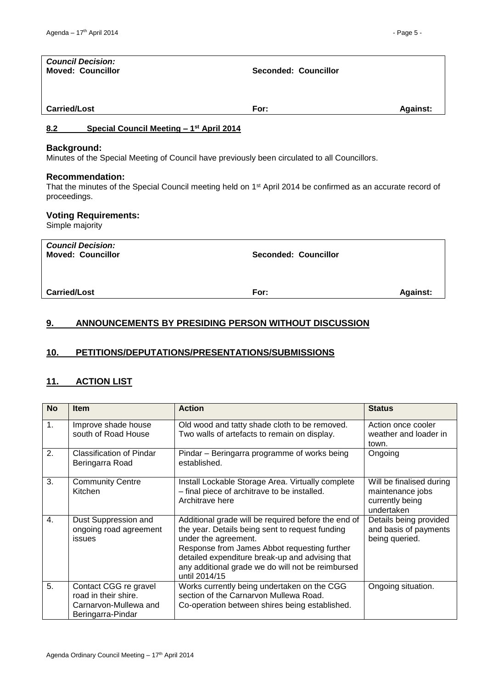<span id="page-4-0"></span>

| <b>Council Decision:</b><br><b>Moved: Councillor</b>                                                                                                               | Seconded: Councillor |                 |
|--------------------------------------------------------------------------------------------------------------------------------------------------------------------|----------------------|-----------------|
| <b>Carried/Lost</b>                                                                                                                                                | For:                 | <b>Against:</b> |
| 8.2<br>Special Council Meeting - 1 <sup>st</sup> April 2014                                                                                                        |                      |                 |
| <b>Background:</b><br>Minutes of the Special Meeting of Council have previously been circulated to all Councillors.                                                |                      |                 |
| <b>Recommendation:</b><br>That the minutes of the Special Council meeting held on 1 <sup>st</sup> April 2014 be confirmed as an accurate record of<br>proceedings. |                      |                 |
| <b>Voting Requirements:</b><br>Simple majority                                                                                                                     |                      |                 |
| <b>Council Decision:</b><br><b>Moved: Councillor</b>                                                                                                               | Seconded: Councillor |                 |

**Carried/Lost For: Against:**

## <span id="page-4-1"></span>**9. ANNOUNCEMENTS BY PRESIDING PERSON WITHOUT DISCUSSION**

### <span id="page-4-2"></span>**10. PETITIONS/DEPUTATIONS/PRESENTATIONS/SUBMISSIONS**

#### <span id="page-4-3"></span>**11. ACTION LIST**

| <b>No</b>      | <b>Item</b>                                                                                 | <b>Action</b>                                                                                                                                                                                                                                                                                           | <b>Status</b>                                                                 |
|----------------|---------------------------------------------------------------------------------------------|---------------------------------------------------------------------------------------------------------------------------------------------------------------------------------------------------------------------------------------------------------------------------------------------------------|-------------------------------------------------------------------------------|
| $\mathbf{1}$ . | Improve shade house<br>south of Road House                                                  | Old wood and tatty shade cloth to be removed.<br>Two walls of artefacts to remain on display.                                                                                                                                                                                                           | Action once cooler<br>weather and loader in<br>town.                          |
| 2.             | Classification of Pindar<br>Beringarra Road                                                 | Pindar – Beringarra programme of works being<br>established.                                                                                                                                                                                                                                            | Ongoing                                                                       |
| 3.             | <b>Community Centre</b><br>Kitchen                                                          | Install Lockable Storage Area. Virtually complete<br>- final piece of architrave to be installed.<br>Architrave here                                                                                                                                                                                    | Will be finalised during<br>maintenance jobs<br>currently being<br>undertaken |
| $\mathbf{4}$ . | Dust Suppression and<br>ongoing road agreement<br><b>issues</b>                             | Additional grade will be required before the end of<br>the year. Details being sent to request funding<br>under the agreement.<br>Response from James Abbot requesting further<br>detailed expenditure break-up and advising that<br>any additional grade we do will not be reimbursed<br>until 2014/15 | Details being provided<br>and basis of payments<br>being queried.             |
| 5.             | Contact CGG re gravel<br>road in their shire.<br>Carnarvon-Mullewa and<br>Beringarra-Pindar | Works currently being undertaken on the CGG<br>section of the Carnarvon Mullewa Road.<br>Co-operation between shires being established.                                                                                                                                                                 | Ongoing situation.                                                            |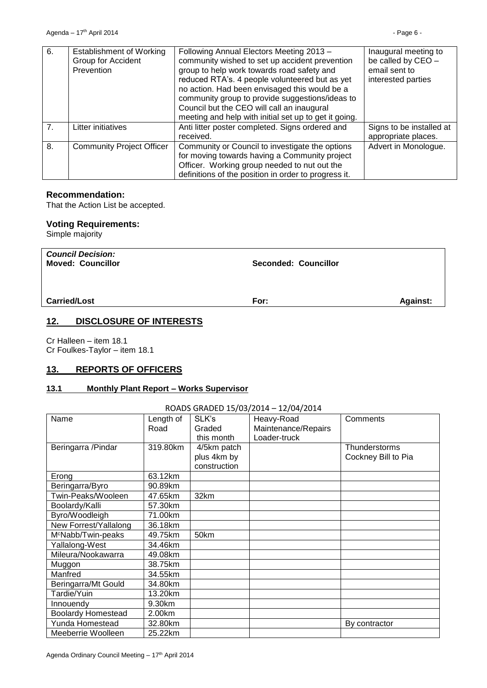| 6.             | <b>Establishment of Working</b><br>Group for Accident<br>Prevention | Following Annual Electors Meeting 2013 -<br>community wished to set up accident prevention<br>group to help work towards road safety and<br>reduced RTA's. 4 people volunteered but as yet<br>no action. Had been envisaged this would be a<br>community group to provide suggestions/ideas to<br>Council but the CEO will call an inaugural<br>meeting and help with initial set up to get it going. | Inaugural meeting to<br>be called by CEO -<br>email sent to<br>interested parties |
|----------------|---------------------------------------------------------------------|-------------------------------------------------------------------------------------------------------------------------------------------------------------------------------------------------------------------------------------------------------------------------------------------------------------------------------------------------------------------------------------------------------|-----------------------------------------------------------------------------------|
| 7 <sub>1</sub> | Litter initiatives                                                  | Anti litter poster completed. Signs ordered and<br>received.                                                                                                                                                                                                                                                                                                                                          | Signs to be installed at<br>appropriate places.                                   |
| 8.             | <b>Community Project Officer</b>                                    | Community or Council to investigate the options<br>for moving towards having a Community project<br>Officer. Working group needed to nut out the<br>definitions of the position in order to progress it.                                                                                                                                                                                              | Advert in Monologue.                                                              |

#### **Recommendation:**

That the Action List be accepted.

#### **Voting Requirements:**

Simple majority

| <b>Council Decision:</b><br><b>Moved: Councillor</b> | <b>Seconded: Councillor</b> |                 |
|------------------------------------------------------|-----------------------------|-----------------|
| <b>Carried/Lost</b>                                  | For:                        | <b>Against:</b> |

#### <span id="page-5-0"></span>**12. DISCLOSURE OF INTERESTS**

Cr Halleen – item 18.1 Cr Foulkes-Taylor – item 18.1

#### <span id="page-5-1"></span>**13. REPORTS OF OFFICERS**

#### <span id="page-5-2"></span>**13.1 Monthly Plant Report – Works Supervisor**

#### ROADS GRADED 15/03/2014 – 12/04/2014

| Name                           | Length of | SLK's        | Heavy-Road          | Comments            |
|--------------------------------|-----------|--------------|---------------------|---------------------|
|                                | Road      | Graded       | Maintenance/Repairs |                     |
|                                |           | this month   | Loader-truck        |                     |
| Beringarra /Pindar             | 319.80km  | 4/5km patch  |                     | Thunderstorms       |
|                                |           | plus 4km by  |                     | Cockney Bill to Pia |
|                                |           |              |                     |                     |
|                                |           | construction |                     |                     |
| Erong                          | 63.12km   |              |                     |                     |
| Beringarra/Byro                | 90.89km   |              |                     |                     |
| Twin-Peaks/Wooleen             | 47.65km   | 32km         |                     |                     |
| Boolardy/Kalli                 | 57.30km   |              |                     |                     |
| Byro/Woodleigh                 | 71.00km   |              |                     |                     |
| New Forrest/Yallalong          | 36.18km   |              |                     |                     |
| M <sup>c</sup> Nabb/Twin-peaks | 49.75km   | 50km         |                     |                     |
| Yallalong-West                 | 34.46km   |              |                     |                     |
| Mileura/Nookawarra             | 49.08km   |              |                     |                     |
| Muggon                         | 38.75km   |              |                     |                     |
| Manfred                        | 34.55km   |              |                     |                     |
| Beringarra/Mt Gould            | 34.80km   |              |                     |                     |
| Tardie/Yuin                    | 13.20km   |              |                     |                     |
| Innouendy                      | 9.30km    |              |                     |                     |
| <b>Boolardy Homestead</b>      | 2.00km    |              |                     |                     |
| Yunda Homestead                | 32.80km   |              |                     | By contractor       |
| Meeberrie Woolleen             | 25.22km   |              |                     |                     |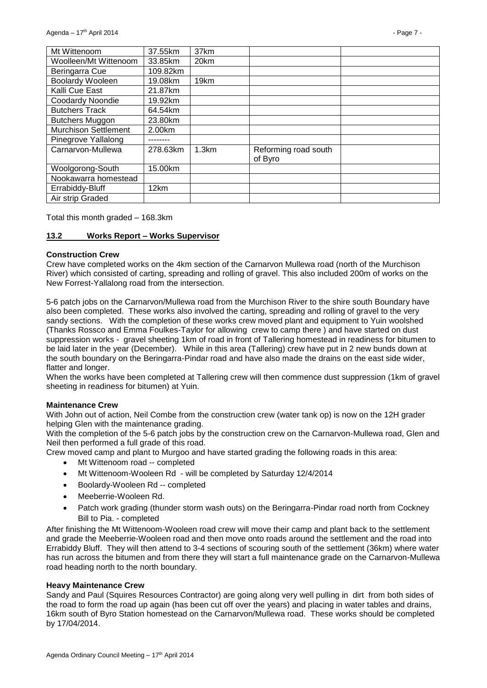| Mt Wittenoom            | 37.55km  | 37km  |                                 |  |
|-------------------------|----------|-------|---------------------------------|--|
| Woolleen/Mt Wittenoom   | 33.85km  | 20km  |                                 |  |
| Beringarra Cue          | 109.82km |       |                                 |  |
| Boolardy Wooleen        | 19.08km  | 19km  |                                 |  |
| Kalli Cue East          | 21.87km  |       |                                 |  |
| <b>Coodardy Noondie</b> | 19.92km  |       |                                 |  |
| <b>Butchers Track</b>   | 64.54km  |       |                                 |  |
| <b>Butchers Muggon</b>  | 23.80km  |       |                                 |  |
| Murchison Settlement    | 2.00km   |       |                                 |  |
| Pinegrove Yallalong     |          |       |                                 |  |
| Carnarvon-Mullewa       | 278.63km | 1.3km | Reforming road south<br>of Byro |  |
| Woolgorong-South        | 15.00km  |       |                                 |  |
| Nookawarra homestead    |          |       |                                 |  |
| Errabiddy-Bluff         | 12km     |       |                                 |  |
| Air strip Graded        |          |       |                                 |  |

Total this month graded – 168.3km

#### <span id="page-6-0"></span>**13.2 Works Report – Works Supervisor**

#### **Construction Crew**

Crew have completed works on the 4km section of the Carnarvon Mullewa road (north of the Murchison River) which consisted of carting, spreading and rolling of gravel. This also included 200m of works on the New Forrest-Yallalong road from the intersection.

5-6 patch jobs on the Carnarvon/Mullewa road from the Murchison River to the shire south Boundary have also been completed. These works also involved the carting, spreading and rolling of gravel to the very sandy sections. With the completion of these works crew moved plant and equipment to Yuin woolshed (Thanks Rossco and Emma Foulkes-Taylor for allowing crew to camp there ) and have started on dust suppression works - gravel sheeting 1km of road in front of Tallering homestead in readiness for bitumen to be laid later in the year (December). While in this area (Tallering) crew have put in 2 new bunds down at the south boundary on the Beringarra-Pindar road and have also made the drains on the east side wider, flatter and longer.

When the works have been completed at Tallering crew will then commence dust suppression (1km of gravel sheeting in readiness for bitumen) at Yuin.

#### **Maintenance Crew**

With John out of action, Neil Combe from the construction crew (water tank op) is now on the 12H grader helping Glen with the maintenance grading.

With the completion of the 5-6 patch jobs by the construction crew on the Carnarvon-Mullewa road, Glen and Neil then performed a full grade of this road.

Crew moved camp and plant to Murgoo and have started grading the following roads in this area:

- Mt Wittenoom road -- completed
- Mt Wittenoom-Wooleen Rd will be completed by Saturday 12/4/2014
- Boolardy-Wooleen Rd -- completed
- Meeberrie-Wooleen Rd.
- Patch work grading (thunder storm wash outs) on the Beringarra-Pindar road north from Cockney Bill to Pia. - completed

After finishing the Mt Wittenoom-Wooleen road crew will move their camp and plant back to the settlement and grade the Meeberrie-Wooleen road and then move onto roads around the settlement and the road into Errabiddy Bluff. They will then attend to 3-4 sections of scouring south of the settlement (36km) where water has run across the bitumen and from there they will start a full maintenance grade on the Carnarvon-Mullewa road heading north to the north boundary.

#### **Heavy Maintenance Crew**

Sandy and Paul (Squires Resources Contractor) are going along very well pulling in dirt from both sides of the road to form the road up again (has been cut off over the years) and placing in water tables and drains, 16km south of Byro Station homestead on the Carnarvon/Mullewa road. These works should be completed by 17/04/2014.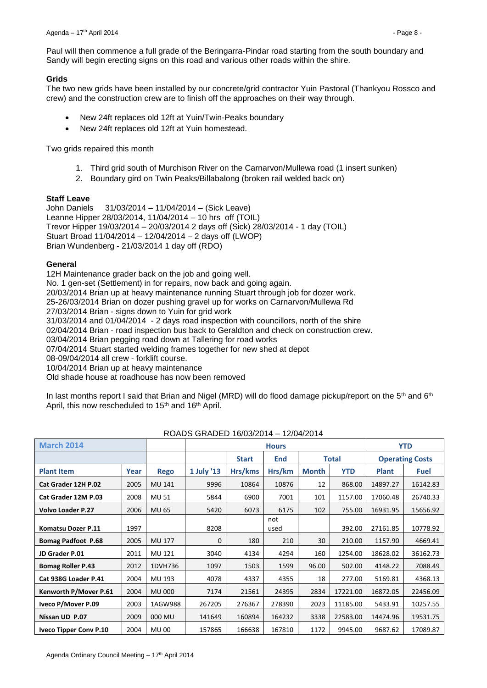Paul will then commence a full grade of the Beringarra-Pindar road starting from the south boundary and Sandy will begin erecting signs on this road and various other roads within the shire.

#### **Grids**

The two new grids have been installed by our concrete/grid contractor Yuin Pastoral (Thankyou Rossco and crew) and the construction crew are to finish off the approaches on their way through.

- New 24ft replaces old 12ft at Yuin/Twin-Peaks boundary
- New 24ft replaces old 12ft at Yuin homestead.

Two grids repaired this month

- 1. Third grid south of Murchison River on the Carnarvon/Mullewa road (1 insert sunken)
- 2. Boundary gird on Twin Peaks/Billabalong (broken rail welded back on)

#### **Staff Leave**

John Daniels 31/03/2014 – 11/04/2014 – (Sick Leave) Leanne Hipper 28/03/2014, 11/04/2014 – 10 hrs off (TOIL) Trevor Hipper 19/03/2014 – 20/03/2014 2 days off (Sick) 28/03/2014 - 1 day (TOIL) Stuart Broad 11/04/2014 – 12/04/2014 – 2 days off (LWOP) Brian Wundenberg - 21/03/2014 1 day off (RDO)

#### **General**

12H Maintenance grader back on the job and going well. No. 1 gen-set (Settlement) in for repairs, now back and going again. 20/03/2014 Brian up at heavy maintenance running Stuart through job for dozer work. 25-26/03/2014 Brian on dozer pushing gravel up for works on Carnarvon/Mullewa Rd 27/03/2014 Brian - signs down to Yuin for grid work 31/03/2014 and 01/04/2014 - 2 days road inspection with councillors, north of the shire 02/04/2014 Brian - road inspection bus back to Geraldton and check on construction crew. 03/04/2014 Brian pegging road down at Tallering for road works 07/04/2014 Stuart started welding frames together for new shed at depot 08-09/04/2014 all crew - forklift course. 10/04/2014 Brian up at heavy maintenance Old shade house at roadhouse has now been removed

In last months report I said that Brian and Nigel (MRD) will do flood damage pickup/report on the 5<sup>th</sup> and 6<sup>th</sup> April, this now rescheduled to 15<sup>th</sup> and 16<sup>th</sup> April.

| <b>March 2014</b>             |      |               | <b>Hours</b> |              |             |              | <b>YTD</b> |              |                        |
|-------------------------------|------|---------------|--------------|--------------|-------------|--------------|------------|--------------|------------------------|
|                               |      |               |              | <b>Start</b> | End         |              | Total      |              | <b>Operating Costs</b> |
| <b>Plant Item</b>             | Year | <b>Rego</b>   | 1 July '13   | Hrs/kms      | Hrs/km      | <b>Month</b> | <b>YTD</b> | <b>Plant</b> | <b>Fuel</b>            |
| Cat Grader 12H P.02           | 2005 | MU 141        | 9996         | 10864        | 10876       | 12           | 868.00     | 14897.27     | 16142.83               |
| Cat Grader 12M P.03           | 2008 | <b>MU 51</b>  | 5844         | 6900         | 7001        | 101          | 1157.00    | 17060.48     | 26740.33               |
| <b>Volvo Loader P.27</b>      | 2006 | <b>MU 65</b>  | 5420         | 6073         | 6175        | 102          | 755.00     | 16931.95     | 15656.92               |
| <b>Komatsu Dozer P.11</b>     | 1997 |               | 8208         |              | not<br>used |              | 392.00     | 27161.85     | 10778.92               |
| <b>Bomag Padfoot P.68</b>     | 2005 | MU 177        | $\Omega$     | 180          | 210         | 30           | 210.00     | 1157.90      | 4669.41                |
| JD Grader P.01                | 2011 | MU 121        | 3040         | 4134         | 4294        | 160          | 1254.00    | 18628.02     | 36162.73               |
| <b>Bomag Roller P.43</b>      | 2012 | 1DVH736       | 1097         | 1503         | 1599        | 96.00        | 502.00     | 4148.22      | 7088.49                |
| Cat 938G Loader P.41          | 2004 | MU 193        | 4078         | 4337         | 4355        | 18           | 277.00     | 5169.81      | 4368.13                |
| Kenworth P/Mover P.61         | 2004 | <b>MU 000</b> | 7174         | 21561        | 24395       | 2834         | 17221.00   | 16872.05     | 22456.09               |
| Iveco P/Mover P.09            | 2003 | 1AGW988       | 267205       | 276367       | 278390      | 2023         | 11185.00   | 5433.91      | 10257.55               |
| Nissan UD P.07                | 2009 | 000 MU        | 141649       | 160894       | 164232      | 3338         | 22583.00   | 14474.96     | 19531.75               |
| <b>Iveco Tipper Conv P.10</b> | 2004 | <b>MU 00</b>  | 157865       | 166638       | 167810      | 1172         | 9945.00    | 9687.62      | 17089.87               |

#### ROADS GRADED 16/03/2014 – 12/04/2014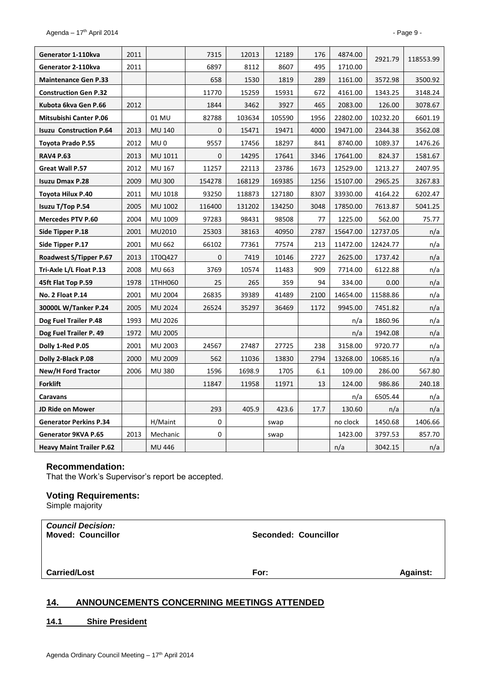| Generator 1-110kva              | 2011 |                 | 7315         | 12013  | 12189  | 176  | 4874.00  | 2921.79  | 118553.99 |
|---------------------------------|------|-----------------|--------------|--------|--------|------|----------|----------|-----------|
| Generator 2-110kva              | 2011 |                 | 6897         | 8112   | 8607   | 495  | 1710.00  |          |           |
| <b>Maintenance Gen P.33</b>     |      |                 | 658          | 1530   | 1819   | 289  | 1161.00  | 3572.98  | 3500.92   |
| <b>Construction Gen P.32</b>    |      |                 | 11770        | 15259  | 15931  | 672  | 4161.00  | 1343.25  | 3148.24   |
| Kubota 6kva Gen P.66            | 2012 |                 | 1844         | 3462   | 3927   | 465  | 2083.00  | 126.00   | 3078.67   |
| <b>Mitsubishi Canter P.06</b>   |      | 01 MU           | 82788        | 103634 | 105590 | 1956 | 22802.00 | 10232.20 | 6601.19   |
| <b>Isuzu Construction P.64</b>  | 2013 | <b>MU 140</b>   | $\mathbf 0$  | 15471  | 19471  | 4000 | 19471.00 | 2344.38  | 3562.08   |
| Toyota Prado P.55               | 2012 | MU <sub>0</sub> | 9557         | 17456  | 18297  | 841  | 8740.00  | 1089.37  | 1476.26   |
| <b>RAV4 P.63</b>                | 2013 | MU 1011         | $\mathbf{0}$ | 14295  | 17641  | 3346 | 17641.00 | 824.37   | 1581.67   |
| Great Wall P.57                 | 2012 | MU 167          | 11257        | 22113  | 23786  | 1673 | 12529.00 | 1213.27  | 2407.95   |
| <b>Isuzu Dmax P.28</b>          | 2009 | <b>MU 300</b>   | 154278       | 168129 | 169385 | 1256 | 15107.00 | 2965.25  | 3267.83   |
| Toyota Hilux P.40               | 2011 | MU 1018         | 93250        | 118873 | 127180 | 8307 | 33930.00 | 4164.22  | 6202.47   |
| <b>Isuzu T/Top P.54</b>         | 2005 | MU 1002         | 116400       | 131202 | 134250 | 3048 | 17850.00 | 7613.87  | 5041.25   |
| <b>Mercedes PTV P.60</b>        | 2004 | MU 1009         | 97283        | 98431  | 98508  | 77   | 1225.00  | 562.00   | 75.77     |
| Side Tipper P.18                | 2001 | MU2010          | 25303        | 38163  | 40950  | 2787 | 15647.00 | 12737.05 | n/a       |
| Side Tipper P.17                | 2001 | MU 662          | 66102        | 77361  | 77574  | 213  | 11472.00 | 12424.77 | n/a       |
| Roadwest S/Tipper P.67          | 2013 | 1T0Q427         | $\mathbf{0}$ | 7419   | 10146  | 2727 | 2625.00  | 1737.42  | n/a       |
| Tri-Axle L/L Float P.13         | 2008 | MU 663          | 3769         | 10574  | 11483  | 909  | 7714.00  | 6122.88  | n/a       |
| 45ft Flat Top P.59              | 1978 | 1THH060         | 25           | 265    | 359    | 94   | 334.00   | 0.00     | n/a       |
| No. 2 Float P.14                | 2001 | MU 2004         | 26835        | 39389  | 41489  | 2100 | 14654.00 | 11588.86 | n/a       |
| 30000L W/Tanker P.24            | 2005 | MU 2024         | 26524        | 35297  | 36469  | 1172 | 9945.00  | 7451.82  | n/a       |
| Dog Fuel Trailer P.48           | 1993 | MU 2026         |              |        |        |      | n/a      | 1860.96  | n/a       |
| Dog Fuel Trailer P. 49          | 1972 | <b>MU 2005</b>  |              |        |        |      | n/a      | 1942.08  | n/a       |
| Dolly 1-Red P.05                | 2001 | MU 2003         | 24567        | 27487  | 27725  | 238  | 3158.00  | 9720.77  | n/a       |
| Dolly 2-Black P.08              | 2000 | MU 2009         | 562          | 11036  | 13830  | 2794 | 13268.00 | 10685.16 | n/a       |
| New/H Ford Tractor              | 2006 | <b>MU 380</b>   | 1596         | 1698.9 | 1705   | 6.1  | 109.00   | 286.00   | 567.80    |
| <b>Forklift</b>                 |      |                 | 11847        | 11958  | 11971  | 13   | 124.00   | 986.86   | 240.18    |
| Caravans                        |      |                 |              |        |        |      | n/a      | 6505.44  | n/a       |
| <b>JD Ride on Mower</b>         |      |                 | 293          | 405.9  | 423.6  | 17.7 | 130.60   | n/a      | n/a       |
| <b>Generator Perkins P.34</b>   |      | H/Maint         | 0            |        | swap   |      | no clock | 1450.68  | 1406.66   |
| Generator 9KVA P.65             | 2013 | Mechanic        | $\mathbf 0$  |        | swap   |      | 1423.00  | 3797.53  | 857.70    |
| <b>Heavy Maint Trailer P.62</b> |      | MU 446          |              |        |        |      | n/a      | 3042.15  | n/a       |

#### **Recommendation:**

That the Work's Supervisor's report be accepted.

#### **Voting Requirements:**

Simple majority

| <b>Council Decision:</b><br><b>Moved: Councillor</b> | <b>Seconded: Councillor</b> |                 |
|------------------------------------------------------|-----------------------------|-----------------|
| <b>Carried/Lost</b>                                  | For:                        | <b>Against:</b> |

#### <span id="page-8-0"></span>**14. ANNOUNCEMENTS CONCERNING MEETINGS ATTENDED**

#### <span id="page-8-1"></span>**14.1 Shire President**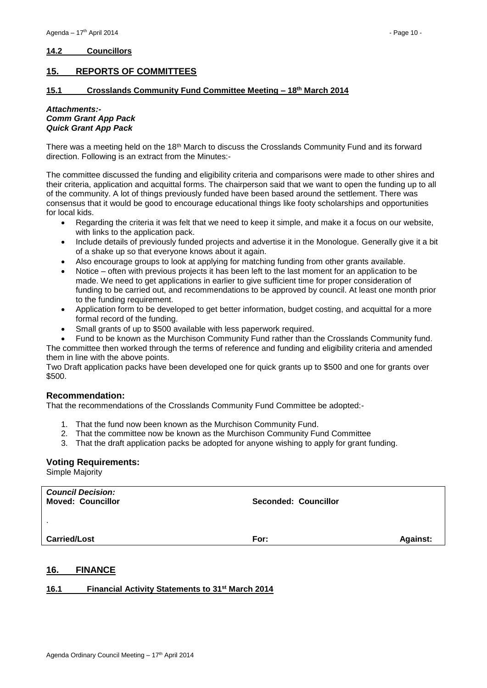#### <span id="page-9-0"></span>**14.2 Councillors**

#### <span id="page-9-1"></span>**15. REPORTS OF COMMITTEES**

#### <span id="page-9-2"></span>**15.1 Crosslands Community Fund Committee Meeting – 18th March 2014**

#### *Attachments:- Comm Grant App Pack Quick Grant App Pack*

There was a meeting held on the 18<sup>th</sup> March to discuss the Crosslands Community Fund and its forward direction. Following is an extract from the Minutes:-

The committee discussed the funding and eligibility criteria and comparisons were made to other shires and their criteria, application and acquittal forms. The chairperson said that we want to open the funding up to all of the community. A lot of things previously funded have been based around the settlement. There was consensus that it would be good to encourage educational things like footy scholarships and opportunities for local kids.

- Regarding the criteria it was felt that we need to keep it simple, and make it a focus on our website, with links to the application pack.
- Include details of previously funded projects and advertise it in the Monologue. Generally give it a bit of a shake up so that everyone knows about it again.
- Also encourage groups to look at applying for matching funding from other grants available.
- Notice often with previous projects it has been left to the last moment for an application to be made. We need to get applications in earlier to give sufficient time for proper consideration of funding to be carried out, and recommendations to be approved by council. At least one month prior to the funding requirement.
- Application form to be developed to get better information, budget costing, and acquittal for a more formal record of the funding.
- Small grants of up to \$500 available with less paperwork required.
- Fund to be known as the Murchison Community Fund rather than the Crosslands Community fund.

The committee then worked through the terms of reference and funding and eligibility criteria and amended them in line with the above points.

Two Draft application packs have been developed one for quick grants up to \$500 and one for grants over \$500.

#### **Recommendation:**

That the recommendations of the Crosslands Community Fund Committee be adopted:-

- 1. That the fund now been known as the Murchison Community Fund.
- 2. That the committee now be known as the Murchison Community Fund Committee
- 3. That the draft application packs be adopted for anyone wishing to apply for grant funding.

#### **Voting Requirements:**

Simple Majority

| <b>Council Decision:</b><br><b>Moved: Councillor</b> | <b>Seconded: Councillor</b> |                 |
|------------------------------------------------------|-----------------------------|-----------------|
| . .                                                  |                             |                 |
| <b>Carried/Lost</b>                                  | For:                        | <b>Against:</b> |

#### <span id="page-9-3"></span>**16. FINANCE**

#### <span id="page-9-4"></span>**16.1 Financial Activity Statements to 31st March 2014**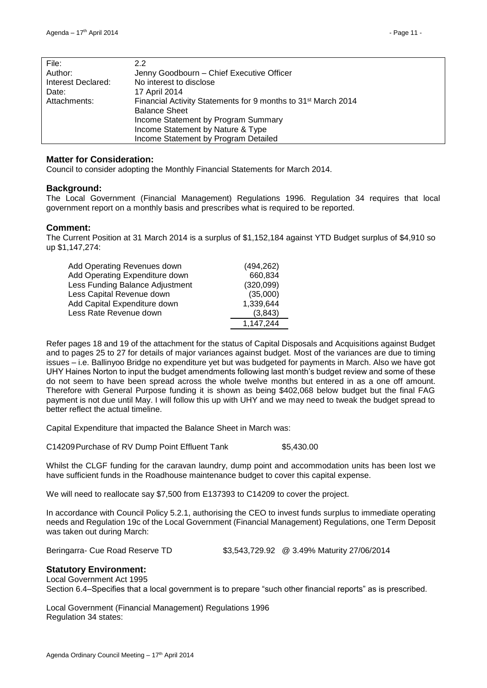| File:              | 2.2                                                                       |
|--------------------|---------------------------------------------------------------------------|
| Author:            | Jenny Goodbourn - Chief Executive Officer                                 |
| Interest Declared: | No interest to disclose                                                   |
| Date:              | 17 April 2014                                                             |
| Attachments:       | Financial Activity Statements for 9 months to 31 <sup>st</sup> March 2014 |
|                    | <b>Balance Sheet</b>                                                      |
|                    | Income Statement by Program Summary                                       |
|                    | Income Statement by Nature & Type                                         |
|                    | Income Statement by Program Detailed                                      |

#### **Matter for Consideration:**

Council to consider adopting the Monthly Financial Statements for March 2014.

#### **Background:**

The Local Government (Financial Management) Regulations 1996. Regulation 34 requires that local government report on a monthly basis and prescribes what is required to be reported.

#### **Comment:**

The Current Position at 31 March 2014 is a surplus of \$1,152,184 against YTD Budget surplus of \$4,910 so up \$1,147,274:

| Add Operating Revenues down     | (494, 262) |
|---------------------------------|------------|
| Add Operating Expenditure down  | 660,834    |
| Less Funding Balance Adjustment | (320,099)  |
| Less Capital Revenue down       | (35,000)   |
| Add Capital Expenditure down    | 1,339,644  |
| Less Rate Revenue down          | (3,843)    |
|                                 | 1,147,244  |

Refer pages 18 and 19 of the attachment for the status of Capital Disposals and Acquisitions against Budget and to pages 25 to 27 for details of major variances against budget. Most of the variances are due to timing issues – i.e. Ballinyoo Bridge no expenditure yet but was budgeted for payments in March. Also we have got UHY Haines Norton to input the budget amendments following last month's budget review and some of these do not seem to have been spread across the whole twelve months but entered in as a one off amount. Therefore with General Purpose funding it is shown as being \$402,068 below budget but the final FAG payment is not due until May. I will follow this up with UHY and we may need to tweak the budget spread to better reflect the actual timeline.

Capital Expenditure that impacted the Balance Sheet in March was:

C14209Purchase of RV Dump Point Effluent Tank \$5,430.00

Whilst the CLGF funding for the caravan laundry, dump point and accommodation units has been lost we have sufficient funds in the Roadhouse maintenance budget to cover this capital expense.

We will need to reallocate say \$7,500 from E137393 to C14209 to cover the project.

In accordance with Council Policy 5.2.1, authorising the CEO to invest funds surplus to immediate operating needs and Regulation 19c of the Local Government (Financial Management) Regulations, one Term Deposit was taken out during March:

Beringarra- Cue Road Reserve TD \$3,543,729.92 @ 3.49% Maturity 27/06/2014

#### **Statutory Environment:**

Local Government Act 1995 Section 6.4–Specifies that a local government is to prepare "such other financial reports" as is prescribed.

Local Government (Financial Management) Regulations 1996 Regulation 34 states: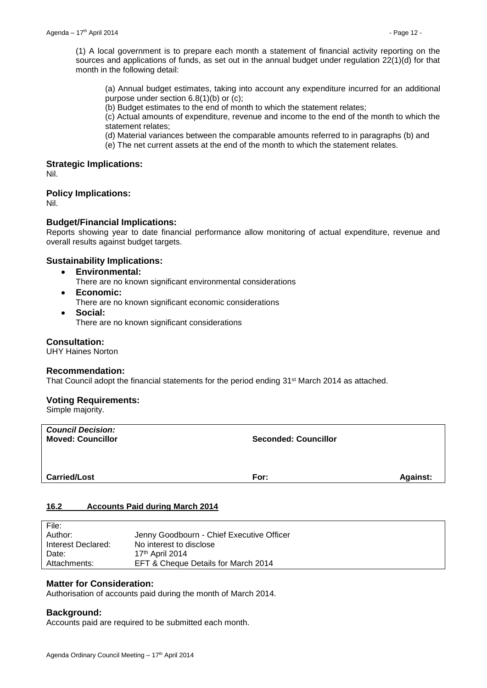(1) A local government is to prepare each month a statement of financial activity reporting on the sources and applications of funds, as set out in the annual budget under regulation 22(1)(d) for that month in the following detail:

(a) Annual budget estimates, taking into account any expenditure incurred for an additional purpose under section 6.8(1)(b) or (c);

(b) Budget estimates to the end of month to which the statement relates;

(c) Actual amounts of expenditure, revenue and income to the end of the month to which the statement relates;

(d) Material variances between the comparable amounts referred to in paragraphs (b) and

(e) The net current assets at the end of the month to which the statement relates.

#### **Strategic Implications:**

Nil.

#### **Policy Implications:**

Nil.

#### **Budget/Financial Implications:**

Reports showing year to date financial performance allow monitoring of actual expenditure, revenue and overall results against budget targets.

#### **Sustainability Implications:**

- **Environmental:**
	- There are no known significant environmental considerations
- **Economic:**

There are no known significant economic considerations

**Social:**

There are no known significant considerations

#### **Consultation:**

UHY Haines Norton

#### **Recommendation:**

That Council adopt the financial statements for the period ending 31<sup>st</sup> March 2014 as attached.

#### **Voting Requirements:**

Simple majority.

| <b>Council Decision:</b><br><b>Moved: Councillor</b> | <b>Seconded: Councillor</b> |                 |
|------------------------------------------------------|-----------------------------|-----------------|
| <b>Carried/Lost</b>                                  | For:                        | <b>Against:</b> |

#### <span id="page-11-0"></span>**16.2 Accounts Paid during March 2014**

| File:              |                                           |
|--------------------|-------------------------------------------|
| Author:            | Jenny Goodbourn - Chief Executive Officer |
| Interest Declared: | No interest to disclose                   |
| Date:              | $17th$ April 2014                         |
| Attachments:       | EFT & Cheque Details for March 2014       |
|                    |                                           |

#### **Matter for Consideration:**

Authorisation of accounts paid during the month of March 2014.

#### **Background:**

Accounts paid are required to be submitted each month.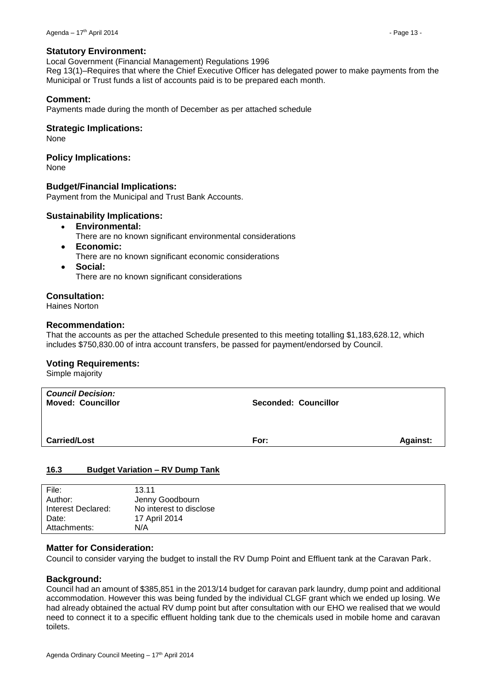Local Government (Financial Management) Regulations 1996 Reg 13(1)–Requires that where the Chief Executive Officer has delegated power to make payments from the Municipal or Trust funds a list of accounts paid is to be prepared each month.

#### **Comment:**

Payments made during the month of December as per attached schedule

#### **Strategic Implications:**

None

**Policy Implications:**

None

#### **Budget/Financial Implications:**

Payment from the Municipal and Trust Bank Accounts.

#### **Sustainability Implications:**

- **Environmental:**
	- There are no known significant environmental considerations
- **Economic:** There are no known significant economic considerations
- **Social:**

There are no known significant considerations

#### **Consultation:**

Haines Norton

#### **Recommendation:**

That the accounts as per the attached Schedule presented to this meeting totalling \$1,183,628.12, which includes \$750,830.00 of intra account transfers, be passed for payment/endorsed by Council.

#### **Voting Requirements:**

Simple majority

| <b>Council Decision:</b><br><b>Moved: Councillor</b> | <b>Seconded: Councillor</b> |                 |
|------------------------------------------------------|-----------------------------|-----------------|
| <b>Carried/Lost</b>                                  | For:                        | <b>Against:</b> |

#### <span id="page-12-0"></span>**16.3 Budget Variation – RV Dump Tank**

| File:              | 13.11                   |
|--------------------|-------------------------|
| Author:            | Jenny Goodbourn         |
| Interest Declared: | No interest to disclose |
| Date:              | 17 April 2014           |
| Attachments:       | N/A                     |

#### **Matter for Consideration:**

Council to consider varying the budget to install the RV Dump Point and Effluent tank at the Caravan Park.

#### **Background:**

Council had an amount of \$385,851 in the 2013/14 budget for caravan park laundry, dump point and additional accommodation. However this was being funded by the individual CLGF grant which we ended up losing. We had already obtained the actual RV dump point but after consultation with our EHO we realised that we would need to connect it to a specific effluent holding tank due to the chemicals used in mobile home and caravan toilets.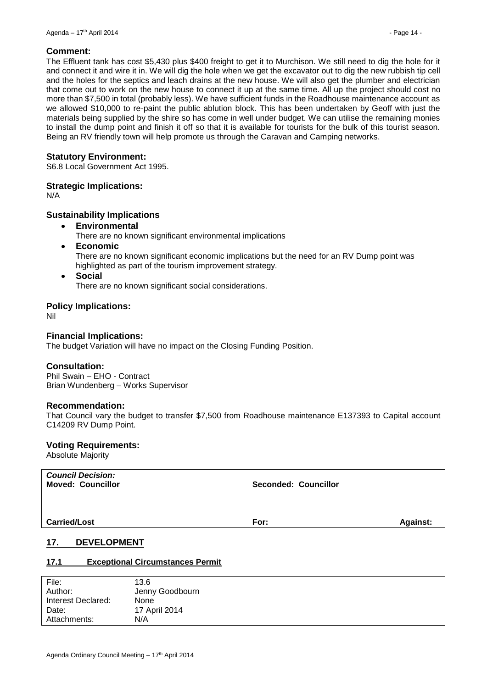#### **Comment:**

The Effluent tank has cost \$5,430 plus \$400 freight to get it to Murchison. We still need to dig the hole for it and connect it and wire it in. We will dig the hole when we get the excavator out to dig the new rubbish tip cell and the holes for the septics and leach drains at the new house. We will also get the plumber and electrician that come out to work on the new house to connect it up at the same time. All up the project should cost no more than \$7,500 in total (probably less). We have sufficient funds in the Roadhouse maintenance account as we allowed \$10,000 to re-paint the public ablution block. This has been undertaken by Geoff with just the materials being supplied by the shire so has come in well under budget. We can utilise the remaining monies to install the dump point and finish it off so that it is available for tourists for the bulk of this tourist season. Being an RV friendly town will help promote us through the Caravan and Camping networks.

#### **Statutory Environment:**

S6.8 Local Government Act 1995.

#### **Strategic Implications:**

N/A

#### **Sustainability Implications**

- **Environmental**
	- There are no known significant environmental implications
- **Economic**

There are no known significant economic implications but the need for an RV Dump point was highlighted as part of the tourism improvement strategy.

 **Social** There are no known significant social considerations.

**Policy Implications:**

Nil

#### **Financial Implications:**

The budget Variation will have no impact on the Closing Funding Position.

#### **Consultation:**

Phil Swain – EHO - Contract Brian Wundenberg – Works Supervisor

#### **Recommendation:**

That Council vary the budget to transfer \$7,500 from Roadhouse maintenance E137393 to Capital account C14209 RV Dump Point.

#### **Voting Requirements:**

Absolute Majority

| <b>Council Decision:</b><br><b>Moved: Councillor</b> | Seconded: Councillor |                 |
|------------------------------------------------------|----------------------|-----------------|
| <b>Carried/Lost</b>                                  | For:                 | <b>Against:</b> |

#### <span id="page-13-0"></span>**17. DEVELOPMENT**

#### <span id="page-13-1"></span>**17.1 Exceptional Circumstances Permit**

| File:              | 13.6            |
|--------------------|-----------------|
| Author:            | Jenny Goodbourn |
| Interest Declared: | None            |
| Date:              | 17 April 2014   |
| Attachments:       | N/A             |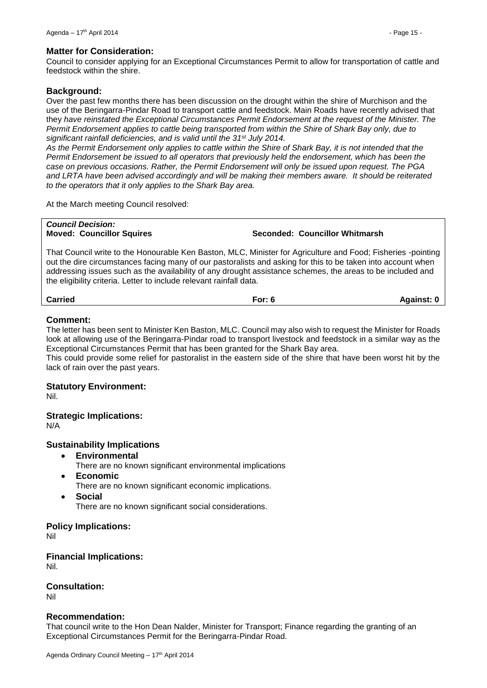#### **Matter for Consideration:**

Council to consider applying for an Exceptional Circumstances Permit to allow for transportation of cattle and feedstock within the shire.

#### **Background:**

Over the past few months there has been discussion on the drought within the shire of Murchison and the use of the Beringarra-Pindar Road to transport cattle and feedstock. Main Roads have recently advised that they *have reinstated the Exceptional Circumstances Permit Endorsement at the request of the Minister. The Permit Endorsement applies to cattle being transported from within the Shire of Shark Bay only, due to significant rainfall deficiencies, and is valid until the 31st July 2014.* 

*As the Permit Endorsement only applies to cattle within the Shire of Shark Bay, it is not intended that the Permit Endorsement be issued to all operators that previously held the endorsement, which has been the case on previous occasions. Rather, the Permit Endorsement will only be issued upon request. The PGA and LRTA have been advised accordingly and will be making their members aware. It should be reiterated to the operators that it only applies to the Shark Bay area.* 

At the March meeting Council resolved:

*Council Decision:*

**Moved: Councillor Squires Seconded: Councillor Whitmarsh**

That Council write to the Honourable Ken Baston, MLC, Minister for Agriculture and Food; Fisheries -pointing out the dire circumstances facing many of our pastoralists and asking for this to be taken into account when addressing issues such as the availability of any drought assistance schemes, the areas to be included and the eligibility criteria. Letter to include relevant rainfall data.

**Carried For: 6 Against: 0**

#### **Comment:**

The letter has been sent to Minister Ken Baston, MLC. Council may also wish to request the Minister for Roads look at allowing use of the Beringarra-Pindar road to transport livestock and feedstock in a similar way as the Exceptional Circumstances Permit that has been granted for the Shark Bay area.

This could provide some relief for pastoralist in the eastern side of the shire that have been worst hit by the lack of rain over the past years.

#### **Statutory Environment:**

Nil.

#### **Strategic Implications:**

N/A

#### **Sustainability Implications**

- **Environmental**
	- There are no known significant environmental implications
- **Economic**
	- There are no known significant economic implications.
- **Social**

There are no known significant social considerations.

#### **Policy Implications:**

Nil

#### **Financial Implications:** Nil.

**Consultation:**

Nil

#### **Recommendation:**

That council write to the Hon Dean Nalder, Minister for Transport; Finance regarding the granting of an Exceptional Circumstances Permit for the Beringarra-Pindar Road.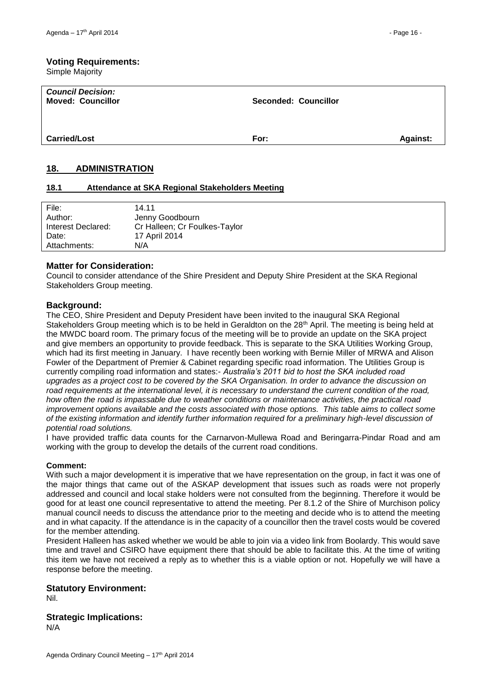#### **Voting Requirements:**

Simple Majority

| <b>Council Decision:</b><br><b>Moved: Councillor</b> | <b>Seconded: Councillor</b> |                 |
|------------------------------------------------------|-----------------------------|-----------------|
| <b>Carried/Lost</b>                                  | For:                        | <b>Against:</b> |

#### <span id="page-15-0"></span>**18. ADMINISTRATION**

#### <span id="page-15-1"></span>**18.1 Attendance at SKA Regional Stakeholders Meeting**

| File:              | 14.11                         |
|--------------------|-------------------------------|
| Author:            | Jenny Goodbourn               |
| Interest Declared: | Cr Halleen; Cr Foulkes-Taylor |
| Date:              | 17 April 2014                 |
| Attachments:       | N/A                           |

#### **Matter for Consideration:**

Council to consider attendance of the Shire President and Deputy Shire President at the SKA Regional Stakeholders Group meeting.

#### **Background:**

The CEO, Shire President and Deputy President have been invited to the inaugural SKA Regional Stakeholders Group meeting which is to be held in Geraldton on the 28<sup>th</sup> April. The meeting is being held at the MWDC board room. The primary focus of the meeting will be to provide an update on the SKA project and give members an opportunity to provide feedback. This is separate to the SKA Utilities Working Group, which had its first meeting in January. I have recently been working with Bernie Miller of MRWA and Alison Fowler of the Department of Premier & Cabinet regarding specific road information. The Utilities Group is currently compiling road information and states:- *Australia's 2011 bid to host the SKA included road upgrades as a project cost to be covered by the SKA Organisation. In order to advance the discussion on road requirements at the international level, it is necessary to understand the current condition of the road, how often the road is impassable due to weather conditions or maintenance activities, the practical road improvement options available and the costs associated with those options. This table aims to collect some of the existing information and identify further information required for a preliminary high-level discussion of potential road solutions.* 

I have provided traffic data counts for the Carnarvon-Mullewa Road and Beringarra-Pindar Road and am working with the group to develop the details of the current road conditions.

#### **Comment:**

With such a major development it is imperative that we have representation on the group, in fact it was one of the major things that came out of the ASKAP development that issues such as roads were not properly addressed and council and local stake holders were not consulted from the beginning. Therefore it would be good for at least one council representative to attend the meeting. Per 8.1.2 of the Shire of Murchison policy manual council needs to discuss the attendance prior to the meeting and decide who is to attend the meeting and in what capacity. If the attendance is in the capacity of a councillor then the travel costs would be covered for the member attending.

President Halleen has asked whether we would be able to join via a video link from Boolardy. This would save time and travel and CSIRO have equipment there that should be able to facilitate this. At the time of writing this item we have not received a reply as to whether this is a viable option or not. Hopefully we will have a response before the meeting.

#### **Statutory Environment:**

Nil.

#### **Strategic Implications:**

N/A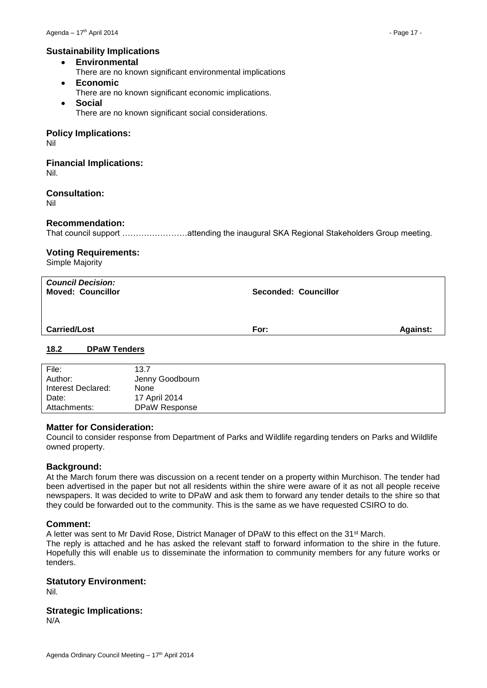#### **Sustainability Implications**

- **Environmental**
	- There are no known significant environmental implications
- **Economic**
	- There are no known significant economic implications.
	- **Social** There are no known significant social considerations.

#### **Policy Implications:**

Nil

#### **Financial Implications:** Nil.

**Consultation:**

Nil

#### **Recommendation:**

That council support ……………………attending the inaugural SKA Regional Stakeholders Group meeting.

#### **Voting Requirements:**

Simple Majority

| <b>Council Decision:</b><br><b>Moved: Councillor</b> | <b>Seconded: Councillor</b> |                 |
|------------------------------------------------------|-----------------------------|-----------------|
| <b>Carried/Lost</b>                                  | For:                        | <b>Against:</b> |
| 18.2<br><b>DPaW Tenders</b>                          |                             |                 |

#### <span id="page-16-0"></span>File: 13.7 Author: Jenny Goodbourn Interest Declared: None Date: 17 April 2014 Attachments: DPaW Response

#### **Matter for Consideration:**

Council to consider response from Department of Parks and Wildlife regarding tenders on Parks and Wildlife owned property.

#### **Background:**

At the March forum there was discussion on a recent tender on a property within Murchison. The tender had been advertised in the paper but not all residents within the shire were aware of it as not all people receive newspapers. It was decided to write to DPaW and ask them to forward any tender details to the shire so that they could be forwarded out to the community. This is the same as we have requested CSIRO to do.

#### **Comment:**

A letter was sent to Mr David Rose, District Manager of DPaW to this effect on the 31st March. The reply is attached and he has asked the relevant staff to forward information to the shire in the future. Hopefully this will enable us to disseminate the information to community members for any future works or tenders.

#### **Statutory Environment:**

Nil.

#### **Strategic Implications:**

N/A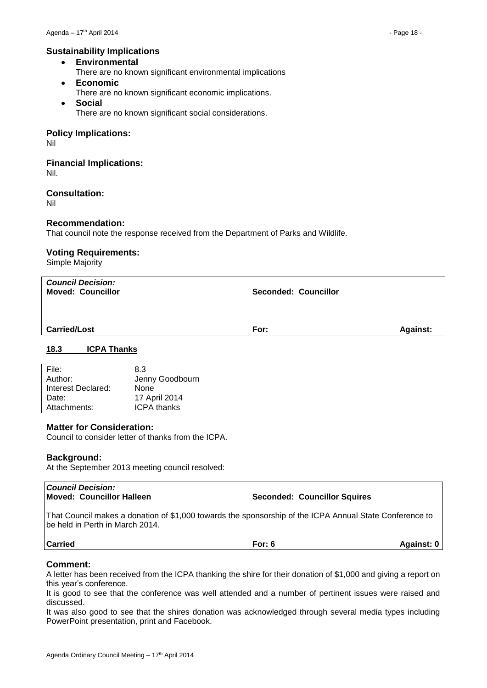#### **Sustainability Implications**

- **Environmental**
	- There are no known significant environmental implications
- **Economic**
	- There are no known significant economic implications.
- **Social** There are no known significant social considerations.

#### **Policy Implications:**

Nil

#### **Financial Implications:** Nil.

#### **Consultation:**

Nil

#### **Recommendation:**

That council note the response received from the Department of Parks and Wildlife.

#### **Voting Requirements:**

Simple Majority

| <b>Council Decision:</b><br><b>Moved: Councillor</b> | <b>Seconded: Councillor</b> |  |
|------------------------------------------------------|-----------------------------|--|
| <b>Carried/Lost</b>                                  | <b>Against:</b><br>For:     |  |
| $\sim$<br>.                                          |                             |  |

#### <span id="page-17-0"></span>**18.3 ICPA Thanks**

| File:              | 8.3                |
|--------------------|--------------------|
| Author:            | Jenny Goodbourn    |
| Interest Declared: | None               |
| Date:              | 17 April 2014      |
| Attachments:       | <b>ICPA thanks</b> |
|                    |                    |

#### **Matter for Consideration:**

Council to consider letter of thanks from the ICPA.

#### **Background:**

At the September 2013 meeting council resolved:

| <b>Council Decision:</b><br>Moved: Councillor Halleen | <b>Seconded: Councillor Squires</b>                                                                     |                   |
|-------------------------------------------------------|---------------------------------------------------------------------------------------------------------|-------------------|
| l be held in Perth in March 2014.                     | That Council makes a donation of \$1,000 towards the sponsorship of the ICPA Annual State Conference to |                   |
| <b>Carried</b>                                        | For: $6$                                                                                                | <b>Against: 0</b> |
|                                                       |                                                                                                         |                   |

#### **Comment:**

A letter has been received from the ICPA thanking the shire for their donation of \$1,000 and giving a report on this year's conference.

It is good to see that the conference was well attended and a number of pertinent issues were raised and discussed.

It was also good to see that the shires donation was acknowledged through several media types including PowerPoint presentation, print and Facebook.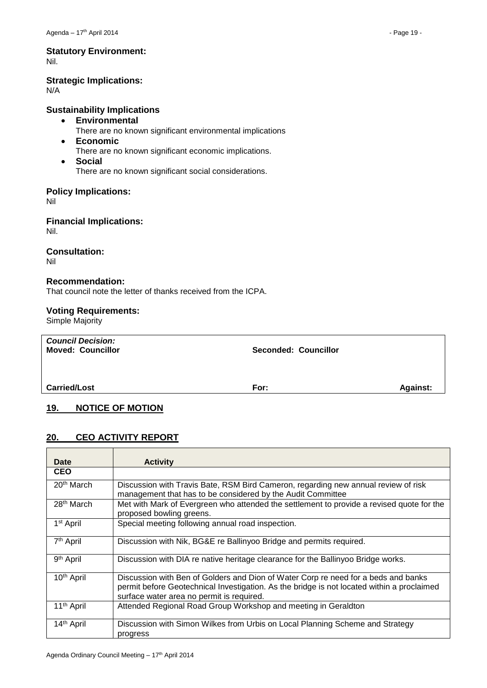## **Statutory Environment:**

Nil.

#### **Strategic Implications:**

N/A

#### **Sustainability Implications**

- **Environmental**
	- There are no known significant environmental implications
- **Economic** There are no known significant economic implications.
- **Social**

There are no known significant social considerations.

#### **Policy Implications:**

Nil

#### **Financial Implications:** Nil.

#### **Consultation:**

Nil

#### **Recommendation:**

That council note the letter of thanks received from the ICPA.

#### **Voting Requirements:**

Simple Majority

| <b>Council Decision:</b><br><b>Moved: Councillor</b> | Seconded: Councillor |                 |
|------------------------------------------------------|----------------------|-----------------|
| <b>Carried/Lost</b>                                  | For:                 | <b>Against:</b> |

#### <span id="page-18-0"></span>**19. NOTICE OF MOTION**

#### <span id="page-18-1"></span>**20. CEO ACTIVITY REPORT**

| Date                   | <b>Activity</b>                                                                                                                                                                                                               |
|------------------------|-------------------------------------------------------------------------------------------------------------------------------------------------------------------------------------------------------------------------------|
| <b>CEO</b>             |                                                                                                                                                                                                                               |
| 20 <sup>th</sup> March | Discussion with Travis Bate, RSM Bird Cameron, regarding new annual review of risk<br>management that has to be considered by the Audit Committee                                                                             |
| 28 <sup>th</sup> March | Met with Mark of Evergreen who attended the settlement to provide a revised quote for the<br>proposed bowling greens.                                                                                                         |
| 1 <sup>st</sup> April  | Special meeting following annual road inspection.                                                                                                                                                                             |
| 7 <sup>th</sup> April  | Discussion with Nik, BG&E re Ballinyoo Bridge and permits required.                                                                                                                                                           |
| 9 <sup>th</sup> April  | Discussion with DIA re native heritage clearance for the Ballinyoo Bridge works.                                                                                                                                              |
| 10 <sup>th</sup> April | Discussion with Ben of Golders and Dion of Water Corp re need for a beds and banks<br>permit before Geotechnical Investigation. As the bridge is not located within a proclaimed<br>surface water area no permit is required. |
| 11 <sup>th</sup> April | Attended Regional Road Group Workshop and meeting in Geraldton                                                                                                                                                                |
| 14 <sup>th</sup> April | Discussion with Simon Wilkes from Urbis on Local Planning Scheme and Strategy<br>progress                                                                                                                                     |